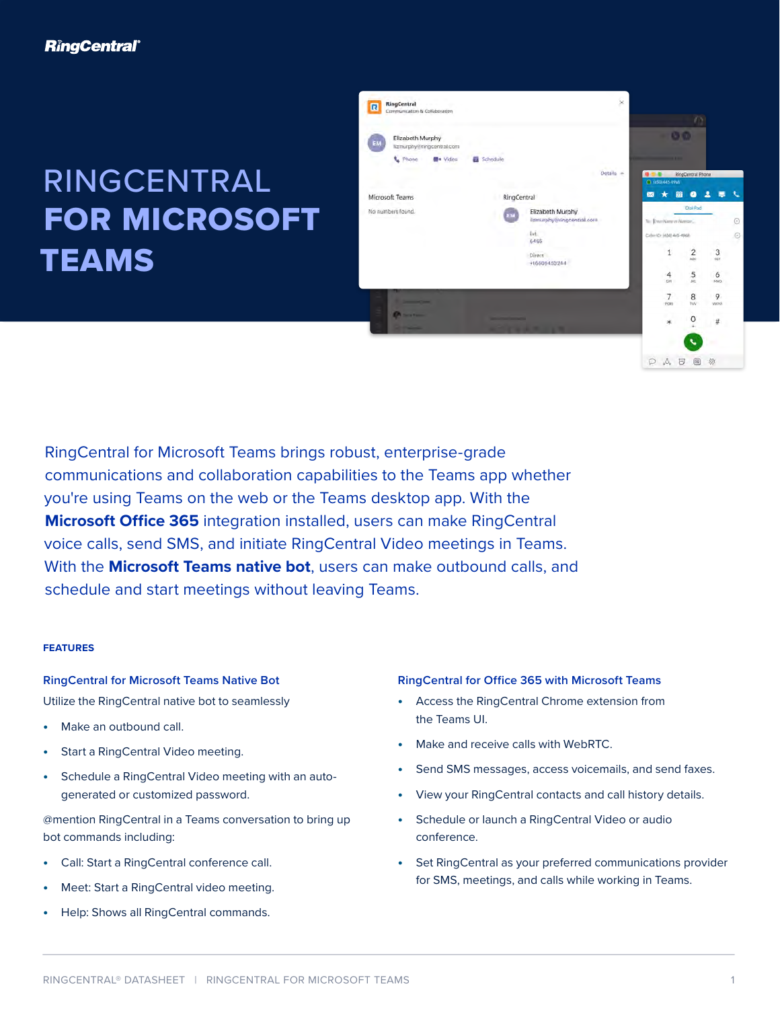# RINGCENTRAL FOR MICROSOFT TEAMS



RingCentral for Microsoft Teams brings robust, enterprise-grade communications and collaboration capabilities to the Teams app whether you're using Teams on the web or the Teams desktop app. With the **Microsoft Office 365** integration installed, users can make RingCentral voice calls, send SMS, and initiate RingCentral Video meetings in Teams. With the **Microsoft Teams native bot**, users can make outbound calls, and schedule and start meetings without leaving Teams.

### **FEATURES**

## **RingCentral for Microsoft Teams Native Bot**

Utilize the RingCentral native bot to seamlessly

- **•** Make an outbound call.
- **•** Start a RingCentral Video meeting.
- **•** Schedule a RingCentral Video meeting with an autogenerated or customized password.

@mention RingCentral in a Teams conversation to bring up bot commands including:

- **•** Call: Start a RingCentral conference call.
- **•** Meet: Start a RingCentral video meeting.
- **•** Help: Shows all RingCentral commands.

### **RingCentral for Office 365 with Microsoft Teams**

- **•** Access the RingCentral Chrome extension from the Teams UI.
- **•** Make and receive calls with WebRTC.
- **•** Send SMS messages, access voicemails, and send faxes.
- **•** View your RingCentral contacts and call history details.
- **•** Schedule or launch a RingCentral Video or audio conference.
- **•** Set RingCentral as your preferred communications provider for SMS, meetings, and calls while working in Teams.